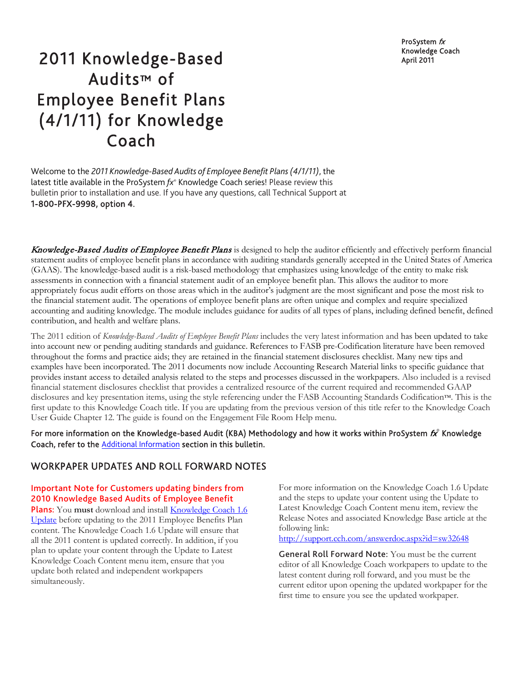ProSystem  $fx$ Knowledge Coach

# 2011 Knowledge-Based April 2011 Audits™ of Employee Benefit Plans (4/1/11) for Knowledge Coach

Welcome to the *2011 Knowledge-Based Audits of Employee Benefit Plans(4/1/11)*, the latest title available in the ProSystem *fx*® Knowledge Coach series! Please review this bulletin prior to installation and use. If you have any questions, call Technical Support at 1-800-PFX-9998, option 4.

Knowledge-Based Audits of Employee Benefit Plans is designed to help the auditor efficiently and effectively perform financial statement audits of employee benefit plans in accordance with auditing standards generally accepted in the United States of America (GAAS). The knowledge-based audit is a risk-based methodology that emphasizes using knowledge of the entity to make risk assessments in connection with a financial statement audit of an employee benefit plan. This allows the auditor to more appropriately focus audit efforts on those areas which in the auditor's judgment are the most significant and pose the most risk to the financial statement audit. The operations of employee benefit plans are often unique and complex and require specialized accounting and auditing knowledge. The module includes guidance for audits of all types of plans, including defined benefit, defined contribution, and health and welfare plans.

The 2011 edition of *Knowledge-Based Audits of Employee Benefit Plans* includes the very latest information and has been updated to take into account new or pending auditing standards and guidance. References to FASB pre-Codification literature have been removed throughout the forms and practice aids; they are retained in the financial statement disclosures checklist. Many new tips and examples have been incorporated. The 2011 documents now include Accounting Research Material links to specific guidance that provides instant access to detailed analysis related to the steps and processes discussed in the workpapers. Also included is a revised financial statement disclosures checklist that provides a centralized resource of the current required and recommended GAAP disclosures and key presentation items, using the style referencing under the FASB Accounting Standards Codification™. This is the first update to this Knowledge Coach title. If you are updating from the previous version of this title refer to the Knowledge Coach User Guide Chapter 12. The guide is found on the Engagement File Room Help menu.

For more information on the Knowledge-based Audit (KBA) Methodology and how it works within ProSystem  $\acute{\kappa}$ ° Knowledge Coach, refer to the [Additional Information](#page-3-0) section in this bulletin.

# WORKPAPER UPDATES AND ROLL FORWARD NOTES

### Important Note for Customers updating binders from 2010 Knowledge Based Audits of Employee Benefit

Plans: You must download and install **Knowledge Coach 1.6** [Update](http://support.cch.com/updates/KnowledgeCoach/) before updating to the 2011 Employee Benefits Plan content. The Knowledge Coach 1.6 Update will ensure that all the 2011 content is updated correctly. In addition, if you plan to update your content through the Update to Latest Knowledge Coach Content menu item, ensure that you update both related and independent workpapers simultaneously.

For more information on the Knowledge Coach 1.6 Update and the steps to update your content using the Update to Latest Knowledge Coach Content menu item, review the Release Notes and associated Knowledge Base article at the following link:

<http://support.cch.com/answerdoc.aspx?id=sw32648>

General Roll Forward Note: You must be the current editor of all Knowledge Coach workpapers to update to the latest content during roll forward, and you must be the current editor upon opening the updated workpaper for the first time to ensure you see the updated workpaper.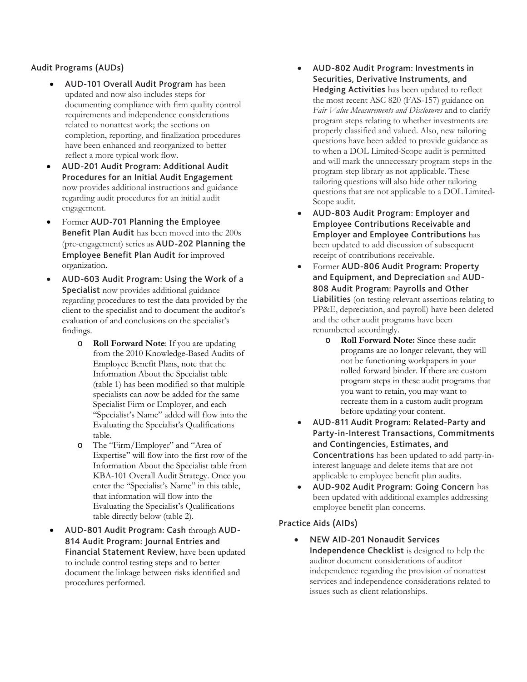## Audit Programs (AUDs)

- AUD-101 Overall Audit Program has been updated and now also includes steps for documenting compliance with firm quality control requirements and independence considerations related to nonattest work; the sections on completion, reporting, and finalization procedures have been enhanced and reorganized to better reflect a more typical work flow.
- AUD-201 Audit Program: Additional Audit Procedures for an Initial Audit Engagement now provides additional instructions and guidance regarding audit procedures for an initial audit engagement.
- Former AUD-701 Planning the Employee Benefit Plan Audit has been moved into the 200s (pre-engagement) series as AUD-202 Planning the Employee Benefit Plan Audit for improved organization.
- AUD-603 Audit Program: Using the Work of a Specialist now provides additional guidance regarding procedures to test the data provided by the client to the specialist and to document the auditor's evaluation of and conclusions on the specialist's findings.
	- o **Roll Forward Note**: If you are updating from the 2010 Knowledge-Based Audits of Employee Benefit Plans, note that the Information About the Specialist table (table 1) has been modified so that multiple specialists can now be added for the same Specialist Firm or Employer, and each "Specialist's Name" added will flow into the Evaluating the Specialist's Qualifications table.
	- o The "Firm/Employer" and "Area of Expertise" will flow into the first row of the Information About the Specialist table from KBA-101 Overall Audit Strategy. Once you enter the "Specialist's Name" in this table, that information will flow into the Evaluating the Specialist's Qualifications table directly below (table 2).
- AUD-801 Audit Program: Cash through AUD-814 Audit Program: Journal Entries and Financial Statement Review, have been updated to include control testing steps and to better document the linkage between risks identified and procedures performed.
- AUD-802 Audit Program: Investments in Securities, Derivative Instruments, and Hedging Activities has been updated to reflect the most recent ASC 820 (FAS-157) guidance on *Fair Value Measurements and Disclosures* and to clarify program steps relating to whether investments are properly classified and valued. Also, new tailoring questions have been added to provide guidance as to when a DOL Limited-Scope audit is permitted and will mark the unnecessary program steps in the program step library as not applicable. These tailoring questions will also hide other tailoring questions that are not applicable to a DOL Limited-Scope audit.
- AUD-803 Audit Program: Employer and Employee Contributions Receivable and Employer and Employee Contributions has been updated to add discussion of subsequent receipt of contributions receivable.
- Former AUD-806 Audit Program: Property and Equipment, and Depreciation and AUD-808 Audit Program: Payrolls and Other Liabilities (on testing relevant assertions relating to PP&E, depreciation, and payroll) have been deleted and the other audit programs have been renumbered accordingly.
	- o **Roll Forward Note:** Since these audit programs are no longer relevant, they will not be functioning workpapers in your rolled forward binder. If there are custom program steps in these audit programs that you want to retain, you may want to recreate them in a custom audit program before updating your content.
- AUD-811 Audit Program: Related-Party and Party-in-Interest Transactions, Commitments and Contingencies, Estimates, and Concentrations has been updated to add party-ininterest language and delete items that are not applicable to employee benefit plan audits.
- AUD-902 Audit Program: Going Concern has been updated with additional examples addressing employee benefit plan concerns.

# Practice Aids (AIDs)

• NEW AID-201 Nonaudit Services Independence Checklist is designed to help the auditor document considerations of auditor independence regarding the provision of nonattest services and independence considerations related to issues such as client relationships.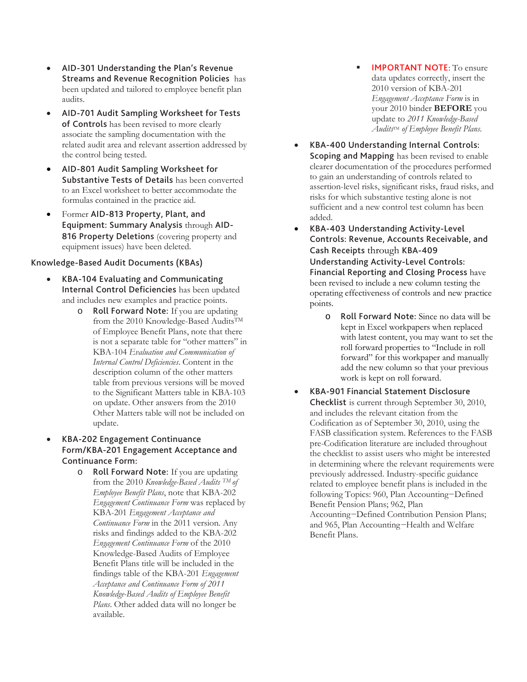- AID-301 Understanding the Plan's Revenue Streams and Revenue Recognition Policies has been updated and tailored to employee benefit plan audits.
- AID-701 Audit Sampling Worksheet for Tests of Controls has been revised to more clearly associate the sampling documentation with the related audit area and relevant assertion addressed by the control being tested.
- AID-801 Audit Sampling Worksheet for Substantive Tests of Details has been converted to an Excel worksheet to better accommodate the formulas contained in the practice aid.
- Former AID-813 Property, Plant, and Equipment: Summary Analysis through AID-816 Property Deletions (covering property and equipment issues) have been deleted.

### Knowledge-Based Audit Documents (KBAs)

- KBA-104 Evaluating and Communicating Internal Control Deficiencies has been updated and includes new examples and practice points.
	- o Roll Forward Note: If you are updating from the 2010 Knowledge-Based Audits<sup>TM</sup> of Employee Benefit Plans, note that there is not a separate table for "other matters" in KBA-104 *Evaluation and Communication of Internal Control Deficiencies*. Content in the description column of the other matters table from previous versions will be moved to the Significant Matters table in KBA-103 on update. Other answers from the 2010 Other Matters table will not be included on update.
- KBA-202 Engagement Continuance Form/KBA-201 Engagement Acceptance and Continuance Form:
	- o Roll Forward Note: If you are updating from the 2010 *Knowledge-Based Audits TM of Employee Benefit Plans*, note that KBA-202 *Engagement Continuance Form* was replaced by KBA-201 *Engagement Acceptance and Continuance Form* in the 2011 version*.* Any risks and findings added to the KBA-202 *Engagement Continuance Form* of the 2010 Knowledge-Based Audits of Employee Benefit Plans title will be included in the findings table of the KBA-201 *Engagement Acceptance and Continuance Form of 2011 Knowledge-Based Audits of Employee Benefit Plans*. Other added data will no longer be available.
- IMPORTANT NOTE: To ensure data updates correctly, insert the 2010 version of KBA-201 *Engagement Acceptance Form* is in your 2010 binder **BEFORE** you update to *2011 Knowledge-Based Audits*TM *of Employee Benefit Plans.*
- KBA-400 Understanding Internal Controls: Scoping and Mapping has been revised to enable clearer documentation of the procedures performed to gain an understanding of controls related to assertion-level risks, significant risks, fraud risks, and risks for which substantive testing alone is not sufficient and a new control test column has been added.
- KBA-403 Understanding Activity-Level Controls: Revenue, Accounts Receivable, and Cash Receipts through KBA-409 Understanding Activity-Level Controls: Financial Reporting and Closing Process have been revised to include a new column testing the operating effectiveness of controls and new practice points.
	- o Roll Forward Note: Since no data will be kept in Excel workpapers when replaced with latest content, you may want to set the roll forward properties to "Include in roll forward" for this workpaper and manually add the new column so that your previous work is kept on roll forward.
- KBA-901 Financial Statement Disclosure Checklist is current through September 30, 2010, and includes the relevant citation from the Codification as of September 30, 2010, using the FASB classification system. References to the FASB pre-Codification literature are included throughout the checklist to assist users who might be interested in determining where the relevant requirements were previously addressed. Industry-specific guidance related to employee benefit plans is included in the following Topics: 960, Plan Accounting−Defined Benefit Pension Plans; 962, Plan Accounting−Defined Contribution Pension Plans; and 965, Plan Accounting−Health and Welfare Benefit Plans.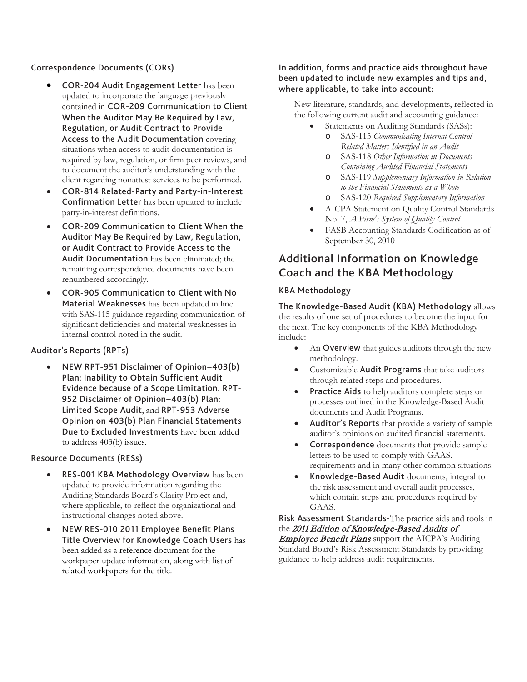### Correspondence Documents (CORs)

- COR-204 Audit Engagement Letter has been updated to incorporate the language previously contained in COR-209 Communication to Client When the Auditor May Be Required by Law, Regulation, or Audit Contract to Provide Access to the Audit Documentation covering situations when access to audit documentation is required by law, regulation, or firm peer reviews, and to document the auditor's understanding with the client regarding nonattest services to be performed.
- COR-814 Related-Party and Party-in-Interest Confirmation Letter has been updated to include party-in-interest definitions.
- COR-209 Communication to Client When the Auditor May Be Required by Law, Regulation, or Audit Contract to Provide Access to the Audit Documentation has been eliminated; the remaining correspondence documents have been renumbered accordingly.
- COR-905 Communication to Client with No Material Weaknesses has been updated in line with SAS-115 guidance regarding communication of significant deficiencies and material weaknesses in internal control noted in the audit.

### Auditor's Reports (RPTs)

• NEW RPT-951 Disclaimer of Opinion−403(b) Plan: Inability to Obtain Sufficient Audit Evidence because of a Scope Limitation**,** RPT-952 Disclaimer of Opinion−403(b) Plan: Limited Scope Audit, and RPT-953 Adverse Opinion on 403(b) Plan Financial Statements Due to Excluded Investments have been added to address 403(b) issues.

#### Resource Documents (RESs)

- RES-001 KBA Methodology Overview has been updated to provide information regarding the Auditing Standards Board's Clarity Project and, where applicable, to reflect the organizational and instructional changes noted above.
- NEW RES-010 2011 Employee Benefit Plans Title Overview for Knowledge Coach Users has been added as a reference document for the workpaper update information, along with list of related workpapers for the title.

### In addition, forms and practice aids throughout have been updated to include new examples and tips and, where applicable, to take into account:

New literature, standards, and developments, reflected in the following current audit and accounting guidance:

- Statements on Auditing Standards (SASs): o SAS-115 *Communicating Internal Control Related Matters Identified in an Audit*
	- o SAS-118 *Other Information in Documents Containing Audited Financial Statements*
	- o SAS-119 *Supplementary Information in Relation to the Financial Statements as a Whole*
	- o SAS-120 *Required Supplementary Information*
- AICPA Statement on Quality Control Standards No. 7, *A Firm's System of Quality Control*
- FASB Accounting Standards Codification as of September 30, 2010

# <span id="page-3-0"></span>Additional Information on Knowledge Coach and the KBA Methodology

### KBA Methodology

The Knowledge-Based Audit (KBA) Methodology allows the results of one set of procedures to become the input for the next. The key components of the KBA Methodology include:

- An **Overview** that guides auditors through the new methodology.
- Customizable Audit Programs that take auditors through related steps and procedures.
- Practice Aids to help auditors complete steps or processes outlined in the Knowledge-Based Audit documents and Audit Programs.
- Auditor's Reports that provide a variety of sample auditor's opinions on audited financial statements.
- Correspondence documents that provide sample letters to be used to comply with GAAS. requirements and in many other common situations.
- Knowledge-Based Audit documents, integral to the risk assessment and overall audit processes, which contain steps and procedures required by GAAS.

Risk Assessment Standards-The practice aids and tools in the 2011 Edition of Knowledge-Based Audits of **Employee Benefit Plans** support the AICPA's Auditing Standard Board's Risk Assessment Standards by providing guidance to help address audit requirements.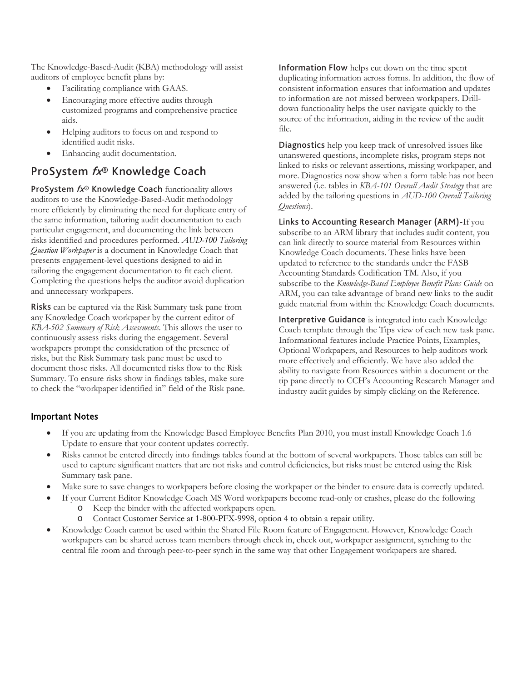The Knowledge-Based-Audit (KBA) methodology will assist auditors of employee benefit plans by:

- Facilitating compliance with GAAS.
- Encouraging more effective audits through customized programs and comprehensive practice aids.
- Helping auditors to focus on and respond to identified audit risks.
- Enhancing audit documentation.

# ProSystem fx® Knowledge Coach

ProSystem  $fx^{\circledast}$  Knowledge Coach functionality allows auditors to use the Knowledge-Based-Audit methodology more efficiently by eliminating the need for duplicate entry of the same information, tailoring audit documentation to each particular engagement, and documenting the link between risks identified and procedures performed. *AUD-100 Tailoring Question Workpaper* is a document in Knowledge Coach that presents engagement-level questions designed to aid in tailoring the engagement documentation to fit each client. Completing the questions helps the auditor avoid duplication and unnecessary workpapers.

Risks can be captured via the Risk Summary task pane from any Knowledge Coach workpaper by the current editor of *KBA-502 Summary of Risk Assessments*. This allows the user to continuously assess risks during the engagement. Several workpapers prompt the consideration of the presence of risks, but the Risk Summary task pane must be used to document those risks. All documented risks flow to the Risk Summary. To ensure risks show in findings tables, make sure to check the "workpaper identified in" field of the Risk pane. Information Flow helps cut down on the time spent duplicating information across forms. In addition, the flow of consistent information ensures that information and updates to information are not missed between workpapers. Drilldown functionality helps the user navigate quickly to the source of the information, aiding in the review of the audit file.

**Diagnostics** help you keep track of unresolved issues like unanswered questions, incomplete risks, program steps not linked to risks or relevant assertions, missing workpaper, and more. Diagnostics now show when a form table has not been answered (i.e. tables in *KBA-101 Overall Audit Strategy* that are added by the tailoring questions in *AUD-100 Overall Tailoring Questions*).

Links to Accounting Research Manager (ARM)-If you subscribe to an ARM library that includes audit content, you can link directly to source material from Resources within Knowledge Coach documents. These links have been updated to reference to the standards under the FASB Accounting Standards Codification TM. Also, if you subscribe to the *Knowledge-Based Employee Benefit Plans Guide* on ARM, you can take advantage of brand new links to the audit guide material from within the Knowledge Coach documents.

Interpretive Guidance is integrated into each Knowledge Coach template through the Tips view of each new task pane. Informational features include Practice Points, Examples, Optional Workpapers, and Resources to help auditors work more effectively and efficiently. We have also added the ability to navigate from Resources within a document or the tip pane directly to CCH's Accounting Research Manager and industry audit guides by simply clicking on the Reference.

# Important Notes

- If you are updating from the Knowledge Based Employee Benefits Plan 2010, you must install Knowledge Coach 1.6 Update to ensure that your content updates correctly.
- Risks cannot be entered directly into findings tables found at the bottom of several workpapers. Those tables can still be used to capture significant matters that are not risks and control deficiencies, but risks must be entered using the Risk Summary task pane.
- Make sure to save changes to workpapers before closing the workpaper or the binder to ensure data is correctly updated.
- If your Current Editor Knowledge Coach MS Word workpapers become read-only or crashes, please do the following
	- o Keep the binder with the affected workpapers open.
	- o Contact Customer Service at 1-800-PFX-9998, option 4 to obtain a repair utility.
- Knowledge Coach cannot be used within the Shared File Room feature of Engagement. However, Knowledge Coach workpapers can be shared across team members through check in, check out, workpaper assignment, synching to the central file room and through peer-to-peer synch in the same way that other Engagement workpapers are shared.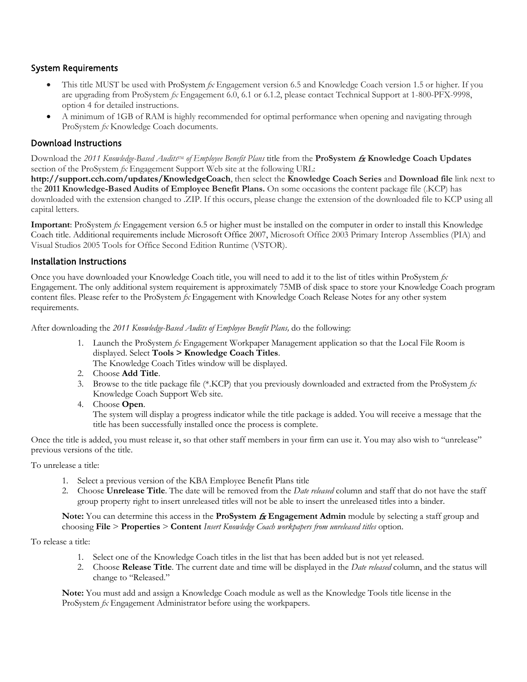# System Requirements

- This title MUST be used with ProSystem *fx* Engagement version 6.5 and Knowledge Coach version 1.5 or higher. If you are upgrading from ProSystem *fx* Engagement 6.0, 6.1 or 6.1.2, please contact Technical Support at 1-800-PFX-9998, option 4 for detailed instructions.
- A minimum of 1GB of RAM is highly recommended for optimal performance when opening and navigating through ProSystem *fx* Knowledge Coach documents.

# Download Instructions

Download the 2011 *Knowledge-Based Audits*<sup>TM</sup> of *Employee Benefit Plans* title from the **ProSystem**  $\acute{a}$  **Knowledge Coach Updates** section of the ProSystem *fx* Engagement Support Web site at the following URL:

**http://support.cch.com/updates/KnowledgeCoach**, then select the **Knowledge Coach Series** and **Download file** link next to the **2011 Knowledge-Based Audits of Employee Benefit Plans.** On some occasions the content package file (.KCP) has downloaded with the extension changed to .ZIP. If this occurs, please change the extension of the downloaded file to KCP using all capital letters.

**Important**: ProSystem *fx* Engagement version 6.5 or higher must be installed on the computer in order to install this Knowledge Coach title. Additional requirements include Microsoft Office 2007, Microsoft Office 2003 Primary Interop Assemblies (PIA) and Visual Studios 2005 Tools for Office Second Edition Runtime (VSTOR).

### Installation Instructions

Once you have downloaded your Knowledge Coach title, you will need to add it to the list of titles within ProSystem *fx* Engagement. The only additional system requirement is approximately 75MB of disk space to store your Knowledge Coach program content files. Please refer to the ProSystem *fx* Engagement with Knowledge Coach Release Notes for any other system requirements.

After downloading the *2011 Knowledge-Based Audits of Employee Benefit Plans,* do the following:

1. Launch the ProSystem *fx* Engagement Workpaper Management application so that the Local File Room is displayed. Select **Tools > Knowledge Coach Titles**.

The Knowledge Coach Titles window will be displayed.

- 2. Choose **Add Title**.
- 3. Browse to the title package file (\*.KCP) that you previously downloaded and extracted from the ProSystem *fx* Knowledge Coach Support Web site.
- 4. Choose **Open**.

The system will display a progress indicator while the title package is added. You will receive a message that the title has been successfully installed once the process is complete.

Once the title is added, you must release it, so that other staff members in your firm can use it. You may also wish to "unrelease" previous versions of the title.

To unrelease a title:

- 1. Select a previous version of the KBA Employee Benefit Plans title
- 2. Choose **Unrelease Title**. The date will be removed from the *Date released* column and staff that do not have the staff group property right to insert unreleased titles will not be able to insert the unreleased titles into a binder.

Note: You can determine this access in the **ProSystem**  $f{x}$  **Engagement Admin** module by selecting a staff group and choosing **File** > **Properties** > **Content** *Insert Knowledge Coach workpapers from unreleased titles* option.

To release a title:

- 1. Select one of the Knowledge Coach titles in the list that has been added but is not yet released.
- 2. Choose **Release Title**. The current date and time will be displayed in the *Date released* column, and the status will change to "Released."

**Note:** You must add and assign a Knowledge Coach module as well as the Knowledge Tools title license in the ProSystem *fx* Engagement Administrator before using the workpapers.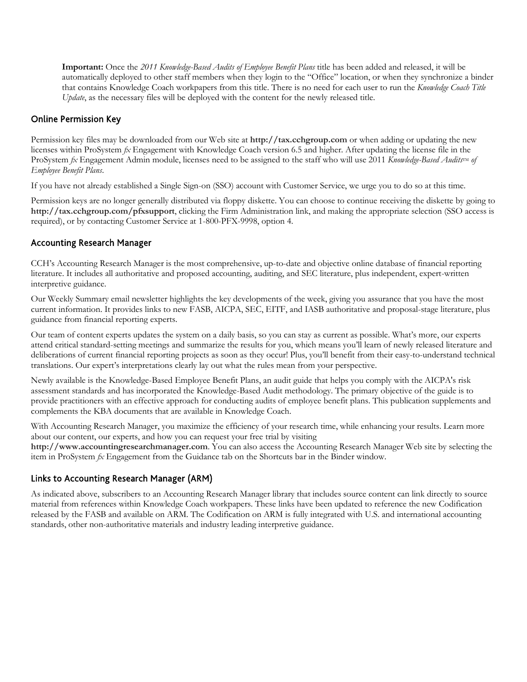**Important:** Once the *2011 Knowledge-Based Audits of Employee Benefit Plans* title has been added and released, it will be automatically deployed to other staff members when they login to the "Office" location, or when they synchronize a binder that contains Knowledge Coach workpapers from this title. There is no need for each user to run the *Knowledge Coach Title Update*, as the necessary files will be deployed with the content for the newly released title.

# Online Permission Key

Permission key files may be downloaded from our Web site at **http://tax.cchgroup.com** or when adding or updating the new licenses within ProSystem *fx* Engagement with Knowledge Coach version 6.5 and higher. After updating the license file in the ProSystem *fx* Engagement Admin module, licenses need to be assigned to the staff who will use 2011 *Knowledge-Based Audits*<sup>IM</sup> of *Employee Benefit Plans*.

If you have not already established a Single Sign-on (SSO) account with Customer Service, we urge you to do so at this time.

Permission keys are no longer generally distributed via floppy diskette. You can choose to continue receiving the diskette by going to **http://tax.cchgroup.com/pfxsupport**, clicking the Firm Administration link, and making the appropriate selection (SSO access is required), or by contacting Customer Service at 1-800-PFX-9998, option 4.

### Accounting Research Manager

CCH's Accounting Research Manager is the most comprehensive, up-to-date and objective online database of financial reporting literature. It includes all authoritative and proposed accounting, auditing, and SEC literature, plus independent, expert-written interpretive guidance.

Our Weekly Summary email newsletter highlights the key developments of the week, giving you assurance that you have the most current information. It provides links to new FASB, AICPA, SEC, EITF, and IASB authoritative and proposal-stage literature, plus guidance from financial reporting experts.

Our team of content experts updates the system on a daily basis, so you can stay as current as possible. What's more, our experts attend critical standard-setting meetings and summarize the results for you, which means you'll learn of newly released literature and deliberations of current financial reporting projects as soon as they occur! Plus, you'll benefit from their easy-to-understand technical translations. Our expert's interpretations clearly lay out what the rules mean from your perspective.

Newly available is the Knowledge-Based Employee Benefit Plans, an audit guide that helps you comply with the AICPA's risk assessment standards and has incorporated the Knowledge-Based Audit methodology. The primary objective of the guide is to provide practitioners with an effective approach for conducting audits of employee benefit plans. This publication supplements and complements the KBA documents that are available in Knowledge Coach.

With Accounting Research Manager, you maximize the efficiency of your research time, while enhancing your results. Learn more about our content, our experts, and how you can request your free trial by visiting

**http://www.accountingresearchmanager.com**. You can also access the Accounting Research Manager Web site by selecting the item in ProSystem *fx* Engagement from the Guidance tab on the Shortcuts bar in the Binder window.

# Links to Accounting Research Manager (ARM)

As indicated above, subscribers to an Accounting Research Manager library that includes source content can link directly to source material from references within Knowledge Coach workpapers. These links have been updated to reference the new Codification released by the FASB and available on ARM. The Codification on ARM is fully integrated with U.S. and international accounting standards, other non-authoritative materials and industry leading interpretive guidance.